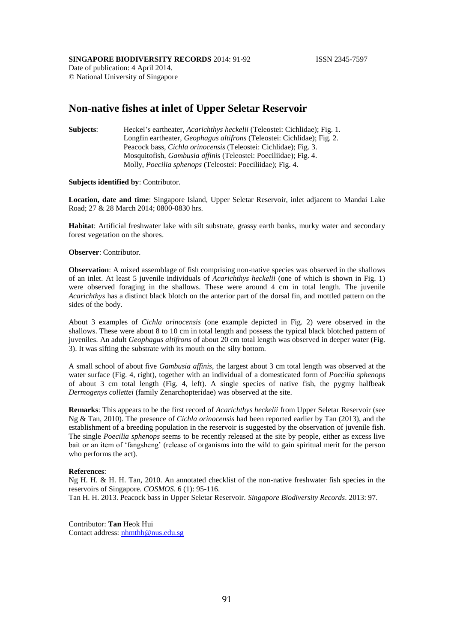## **SINGAPORE BIODIVERSITY RECORDS** 2014: 91-92 **ISSN 2345-7597**

Date of publication: 4 April 2014. © National University of Singapore

# **Non-native fishes at inlet of Upper Seletar Reservoir**

**Subjects**: Heckel's eartheater, *Acarichthys heckelii* (Teleostei: Cichlidae); Fig. 1. Longfin eartheater, *Geophagus altifrons* (Teleostei: Cichlidae); Fig. 2. Peacock bass, *Cichla orinocensis* (Teleostei: Cichlidae); Fig. 3. Mosquitofish, *Gambusia affinis* (Teleostei: Poeciliidae); Fig. 4. Molly, *Poecilia sphenops* (Teleostei: Poeciliidae); Fig. 4.

# **Subjects identified by**: Contributor.

**Location, date and time**: Singapore Island, Upper Seletar Reservoir, inlet adjacent to Mandai Lake Road; 27 & 28 March 2014; 0800-0830 hrs.

**Habitat**: Artificial freshwater lake with silt substrate, grassy earth banks, murky water and secondary forest vegetation on the shores.

## **Observer**: Contributor.

**Observation**: A mixed assemblage of fish comprising non-native species was observed in the shallows of an inlet. At least 5 juvenile individuals of *Acarichthys heckelii* (one of which is shown in Fig. 1) were observed foraging in the shallows. These were around 4 cm in total length. The juvenile *Acarichthys* has a distinct black blotch on the anterior part of the dorsal fin, and mottled pattern on the sides of the body.

About 3 examples of *Cichla orinocensis* (one example depicted in Fig. 2) were observed in the shallows. These were about 8 to 10 cm in total length and possess the typical black blotched pattern of juveniles. An adult *Geophagus altifrons* of about 20 cm total length was observed in deeper water (Fig. 3). It was sifting the substrate with its mouth on the silty bottom.

A small school of about five *Gambusia affinis*, the largest about 3 cm total length was observed at the water surface (Fig. 4, right), together with an individual of a domesticated form of *Poecilia sphenops* of about 3 cm total length (Fig. 4, left). A single species of native fish, the pygmy halfbeak *Dermogenys collettei* (family Zenarchopteridae) was observed at the site.

**Remarks**: This appears to be the first record of *Acarichthys heckelii* from Upper Seletar Reservoir (see Ng & Tan, 2010). The presence of *Cichla orinocensis* had been reported earlier by Tan (2013), and the establishment of a breeding population in the reservoir is suggested by the observation of juvenile fish. The single *Poecilia sphenops* seems to be recently released at the site by people, either as excess live bait or an item of 'fangsheng' (release of organisms into the wild to gain spiritual merit for the person who performs the act).

#### **References**:

Ng H. H. & H. H. Tan, 2010. An annotated checklist of the non-native freshwater fish species in the reservoirs of Singapore. *COSMOS*. 6 (1): 95-116.

Tan H. H. 2013. Peacock bass in Upper Seletar Reservoir. *Singapore Biodiversity Records*. 2013: 97.

Contributor: **Tan** Heok Hui Contact address: [nhmthh@nus.edu.sg](mailto:nhmthh@nus.edu.sg)